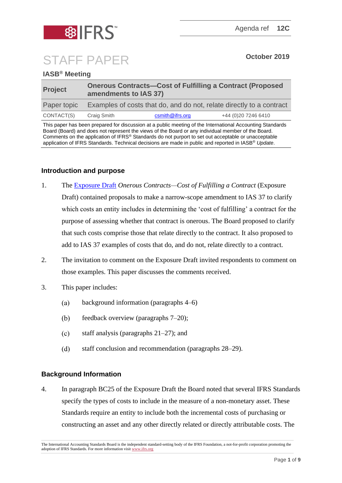

# STAFF PAPER **October <sup>2019</sup>**

# **IASB® Meeting**

| <b>Project</b> | <b>Onerous Contracts-Cost of Fulfilling a Contract (Proposed</b><br>amendments to IAS 37) |                 |                      |
|----------------|-------------------------------------------------------------------------------------------|-----------------|----------------------|
| Paper topic    | Examples of costs that do, and do not, relate directly to a contract                      |                 |                      |
| CONTACT(S)     | Craig Smith                                                                               | csmith@ifrs.org | +44 (0) 20 7246 6410 |

This paper has been prepared for discussion at a public meeting of the International Accounting Standards Board (Board) and does not represent the views of the Board or any individual member of the Board. Comments on the application of IFRS® Standards do not purport to set out acceptable or unacceptable application of IFRS Standards. Technical decisions are made in public and reported in IASB® *Update*.

## **Introduction and purpose**

- 1. The [Exposure Draft](https://www.ifrs.org/-/media/project/onerous-contracts-cost-of-fulfilling-a-contract-amendments-to-ias-37/ed-onerous-contracts-december-2018.pdf) *Onerous Contracts—Cost of Fulfilling a Contract* (Exposure Draft) contained proposals to make a narrow-scope amendment to IAS 37 to clarify which costs an entity includes in determining the 'cost of fulfilling' a contract for the purpose of assessing whether that contract is onerous. The Board proposed to clarify that such costs comprise those that relate directly to the contract. It also proposed to add to IAS 37 examples of costs that do, and do not, relate directly to a contract.
- 2. The invitation to comment on the Exposure Draft invited respondents to comment on those examples. This paper discusses the comments received.
- 3. This paper includes:
	- $(a)$ background information (paragraphs [4–](#page-0-0)[6\)](#page-1-0)
	- $(b)$ feedback overview (paragraphs [7–](#page-2-0)[20\)](#page-5-0);
	- staff analysis (paragraphs [21](#page-5-1)[–27\)](#page-7-0); and  $(c)$
	- $(d)$ staff conclusion and recommendation (paragraphs [28–](#page-8-0)[29\)](#page-8-1).

## **Background Information**

<span id="page-0-0"></span>4. In paragraph BC25 of the Exposure Draft the Board noted that several IFRS Standards specify the types of costs to include in the measure of a non-monetary asset. These Standards require an entity to include both the incremental costs of purchasing or constructing an asset and any other directly related or directly attributable costs. The

The International Accounting Standards Board is the independent standard-setting body of the IFRS Foundation, a not-for-profit corporation promoting the adoption of IFRS Standards. For more information visi[t www.ifrs.org](http://www.ifrs.org/)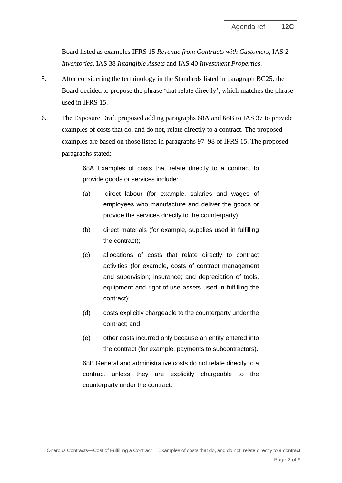Board listed as examples IFRS 15 *Revenue from Contracts with Customers*, IAS 2 *Inventories*, IAS 38 *Intangible Assets* and IAS 40 *Investment Properties*.

- 5. After considering the terminology in the Standards listed in paragraph BC25, the Board decided to propose the phrase 'that relate directly', which matches the phrase used in IFRS 15.
- <span id="page-1-0"></span>6. The Exposure Draft proposed adding paragraphs 68A and 68B to IAS 37 to provide examples of costs that do, and do not, relate directly to a contract. The proposed examples are based on those listed in paragraphs 97–98 of IFRS 15. The proposed paragraphs stated:

68A Examples of costs that relate directly to a contract to provide goods or services include:

- (a) direct labour (for example, salaries and wages of employees who manufacture and deliver the goods or provide the services directly to the counterparty);
- (b) direct materials (for example, supplies used in fulfilling the contract);
- (c) allocations of costs that relate directly to contract activities (for example, costs of contract management and supervision; insurance; and depreciation of tools, equipment and right-of-use assets used in fulfilling the contract);
- (d) costs explicitly chargeable to the counterparty under the contract; and
- (e) other costs incurred only because an entity entered into the contract (for example, payments to subcontractors).

68B General and administrative costs do not relate directly to a contract unless they are explicitly chargeable to the counterparty under the contract.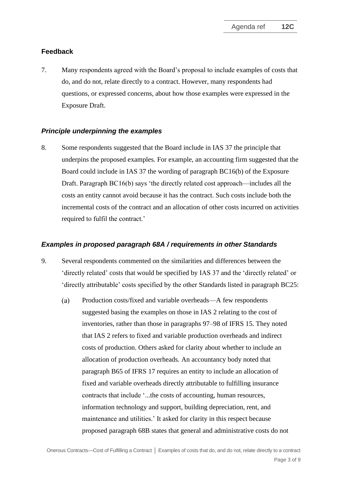# **Feedback**

<span id="page-2-0"></span>7. Many respondents agreed with the Board's proposal to include examples of costs that do, and do not, relate directly to a contract. However, many respondents had questions, or expressed concerns, about how those examples were expressed in the Exposure Draft.

## *Principle underpinning the examples*

<span id="page-2-1"></span>8. Some respondents suggested that the Board include in IAS 37 the principle that underpins the proposed examples. For example, an accounting firm suggested that the Board could include in IAS 37 the wording of paragraph BC16(b) of the Exposure Draft. Paragraph BC16(b) says 'the directly related cost approach—includes all the costs an entity cannot avoid because it has the contract. Such costs include both the incremental costs of the contract and an allocation of other costs incurred on activities required to fulfil the contract.'

#### *Examples in proposed paragraph 68A / requirements in other Standards*

- 9. Several respondents commented on the similarities and differences between the 'directly related' costs that would be specified by IAS 37 and the 'directly related' or 'directly attributable' costs specified by the other Standards listed in paragraph BC25:
	- Production costs/fixed and variable overheads—A few respondents  $(a)$ suggested basing the examples on those in IAS 2 relating to the cost of inventories, rather than those in paragraphs 97–98 of IFRS 15. They noted that IAS 2 refers to fixed and variable production overheads and indirect costs of production. Others asked for clarity about whether to include an allocation of production overheads. An accountancy body noted that paragraph B65 of IFRS 17 requires an entity to include an allocation of fixed and variable overheads directly attributable to fulfilling insurance contracts that include '...the costs of accounting, human resources, information technology and support, building depreciation, rent, and maintenance and utilities.' It asked for clarity in this respect because proposed paragraph 68B states that general and administrative costs do not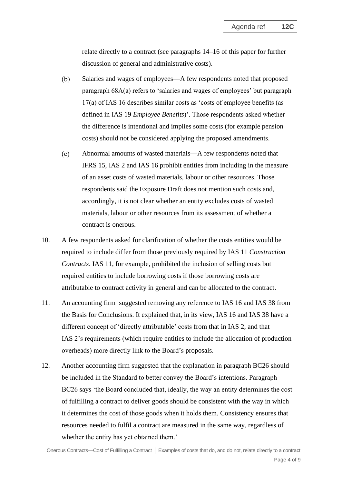relate directly to a contract (see paragraphs [14](#page-4-0)[–16](#page-4-1) of this paper for further discussion of general and administrative costs).

- $(b)$ Salaries and wages of employees—A few respondents noted that proposed paragraph 68A(a) refers to 'salaries and wages of employees' but paragraph 17(a) of IAS 16 describes similar costs as 'costs of employee benefits (as defined in IAS 19 *Employee Benefits*)'. Those respondents asked whether the difference is intentional and implies some costs (for example pension costs) should not be considered applying the proposed amendments.
- $(c)$ Abnormal amounts of wasted materials—A few respondents noted that IFRS 15, IAS 2 and IAS 16 prohibit entities from including in the measure of an asset costs of wasted materials, labour or other resources. Those respondents said the Exposure Draft does not mention such costs and, accordingly, it is not clear whether an entity excludes costs of wasted materials, labour or other resources from its assessment of whether a contract is onerous.
- 10. A few respondents asked for clarification of whether the costs entities would be required to include differ from those previously required by IAS 11 *Construction Contracts*. IAS 11, for example, prohibited the inclusion of selling costs but required entities to include borrowing costs if those borrowing costs are attributable to contract activity in general and can be allocated to the contract.
- 11. An accounting firm suggested removing any reference to IAS 16 and IAS 38 from the Basis for Conclusions. It explained that, in its view, IAS 16 and IAS 38 have a different concept of 'directly attributable' costs from that in IAS 2, and that IAS 2's requirements (which require entities to include the allocation of production overheads) more directly link to the Board's proposals.
- 12. Another accounting firm suggested that the explanation in paragraph BC26 should be included in the Standard to better convey the Board's intentions. Paragraph BC26 says 'the Board concluded that, ideally, the way an entity determines the cost of fulfilling a contract to deliver goods should be consistent with the way in which it determines the cost of those goods when it holds them. Consistency ensures that resources needed to fulfil a contract are measured in the same way, regardless of whether the entity has yet obtained them.'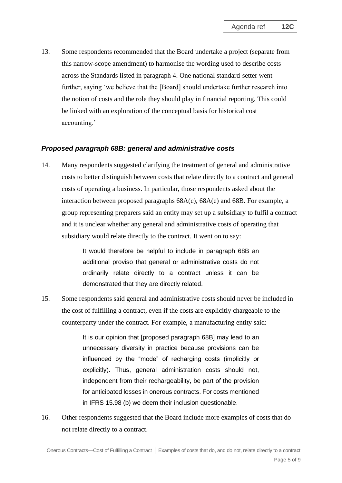13. Some respondents recommended that the Board undertake a project (separate from this narrow-scope amendment) to harmonise the wording used to describe costs across the Standards listed in paragraph [4.](#page-0-0) One national standard-setter went further, saying 'we believe that the [Board] should undertake further research into the notion of costs and the role they should play in financial reporting. This could be linked with an exploration of the conceptual basis for historical cost accounting.'

#### *Proposed paragraph 68B: general and administrative costs*

<span id="page-4-0"></span>14. Many respondents suggested clarifying the treatment of general and administrative costs to better distinguish between costs that relate directly to a contract and general costs of operating a business. In particular, those respondents asked about the interaction between proposed paragraphs 68A(c), 68A(e) and 68B. For example, a group representing preparers said an entity may set up a subsidiary to fulfil a contract and it is unclear whether any general and administrative costs of operating that subsidiary would relate directly to the contract. It went on to say:

> It would therefore be helpful to include in paragraph 68B an additional proviso that general or administrative costs do not ordinarily relate directly to a contract unless it can be demonstrated that they are directly related.

15. Some respondents said general and administrative costs should never be included in the cost of fulfilling a contract, even if the costs are explicitly chargeable to the counterparty under the contract. For example, a manufacturing entity said:

> It is our opinion that [proposed paragraph 68B] may lead to an unnecessary diversity in practice because provisions can be influenced by the "mode" of recharging costs (implicitly or explicitly). Thus, general administration costs should not, independent from their rechargeability, be part of the provision for anticipated losses in onerous contracts. For costs mentioned in IFRS 15.98 (b) we deem their inclusion questionable.

<span id="page-4-1"></span>16. Other respondents suggested that the Board include more examples of costs that do not relate directly to a contract.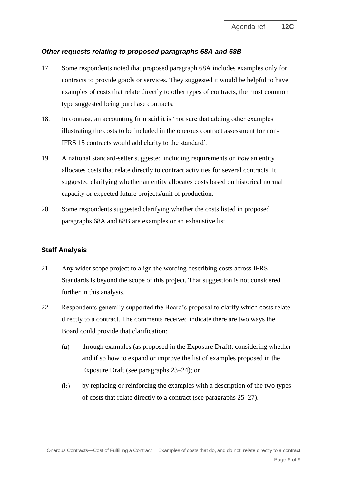## *Other requests relating to proposed paragraphs 68A and 68B*

- 17. Some respondents noted that proposed paragraph 68A includes examples only for contracts to provide goods or services. They suggested it would be helpful to have examples of costs that relate directly to other types of contracts, the most common type suggested being purchase contracts.
- 18. In contrast, an accounting firm said it is 'not sure that adding other examples illustrating the costs to be included in the onerous contract assessment for non-IFRS 15 contracts would add clarity to the standard'.
- 19. A national standard-setter suggested including requirements on *how* an entity allocates costs that relate directly to contract activities for several contracts. It suggested clarifying whether an entity allocates costs based on historical normal capacity or expected future projects/unit of production.
- <span id="page-5-0"></span>20. Some respondents suggested clarifying whether the costs listed in proposed paragraphs 68A and 68B are examples or an exhaustive list.

#### **Staff Analysis**

- <span id="page-5-1"></span>21. Any wider scope project to align the wording describing costs across IFRS Standards is beyond the scope of this project. That suggestion is not considered further in this analysis.
- 22. Respondents generally supported the Board's proposal to clarify which costs relate directly to a contract. The comments received indicate there are two ways the Board could provide that clarification:
	- $(a)$ through examples (as proposed in the Exposure Draft), considering whether and if so how to expand or improve the list of examples proposed in the Exposure Draft (see paragraphs [23](#page-6-0)[–24\)](#page-6-1); or
	- $(b)$ by replacing or reinforcing the examples with a description of the two types of costs that relate directly to a contract (see paragraphs [25–](#page-6-2)[27\)](#page-7-0).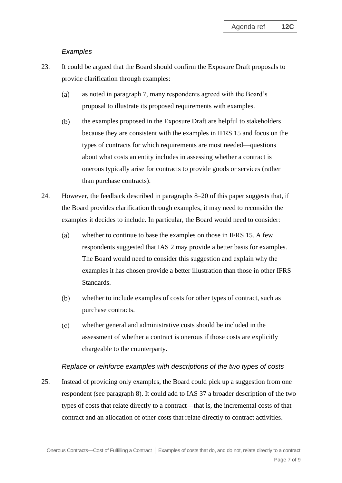#### *Examples*

- <span id="page-6-0"></span>23. It could be argued that the Board should confirm the Exposure Draft proposals to provide clarification through examples:
	- $(a)$ as noted in paragraph [7,](#page-2-0) many respondents agreed with the Board's proposal to illustrate its proposed requirements with examples.
	- the examples proposed in the Exposure Draft are helpful to stakeholders  $(b)$ because they are consistent with the examples in IFRS 15 and focus on the types of contracts for which requirements are most needed—questions about what costs an entity includes in assessing whether a contract is onerous typically arise for contracts to provide goods or services (rather than purchase contracts).
- <span id="page-6-1"></span>24. However, the feedback described in paragraphs [8–](#page-2-1)[20](#page-5-0) of this paper suggests that, if the Board provides clarification through examples, it may need to reconsider the examples it decides to include. In particular, the Board would need to consider:
	- $(a)$ whether to continue to base the examples on those in IFRS 15. A few respondents suggested that IAS 2 may provide a better basis for examples. The Board would need to consider this suggestion and explain why the examples it has chosen provide a better illustration than those in other IFRS Standards.
	- $(b)$ whether to include examples of costs for other types of contract, such as purchase contracts.
	- $(c)$ whether general and administrative costs should be included in the assessment of whether a contract is onerous if those costs are explicitly chargeable to the counterparty.

#### *Replace or reinforce examples with descriptions of the two types of costs*

<span id="page-6-2"></span>25. Instead of providing only examples, the Board could pick up a suggestion from one respondent (see paragraph [8\)](#page-2-1). It could add to IAS 37 a broader description of the two types of costs that relate directly to a contract—that is, the incremental costs of that contract and an allocation of other costs that relate directly to contract activities.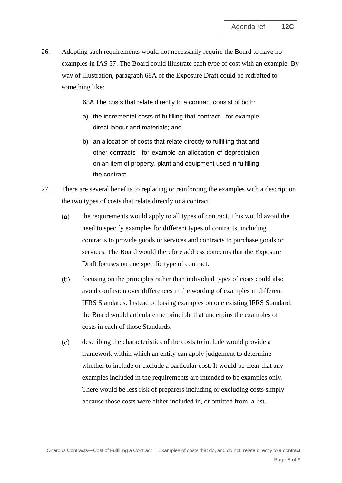<span id="page-7-1"></span>26. Adopting such requirements would not necessarily require the Board to have no examples in IAS 37. The Board could illustrate each type of cost with an example. By way of illustration, paragraph 68A of the Exposure Draft could be redrafted to something like:

68A The costs that relate directly to a contract consist of both:

- a) the incremental costs of fulfilling that contract—for example direct labour and materials; and
- b) an allocation of costs that relate directly to fulfilling that and other contracts—for example an allocation of depreciation on an item of property, plant and equipment used in fulfilling the contract.
- <span id="page-7-0"></span>27. There are several benefits to replacing or reinforcing the examples with a description the two types of costs that relate directly to a contract:
	- the requirements would apply to all types of contract. This would avoid the  $(a)$ need to specify examples for different types of contracts, including contracts to provide goods or services and contracts to purchase goods or services. The Board would therefore address concerns that the Exposure Draft focuses on one specific type of contract.
	- $(b)$ focusing on the principles rather than individual types of costs could also avoid confusion over differences in the wording of examples in different IFRS Standards. Instead of basing examples on one existing IFRS Standard, the Board would articulate the principle that underpins the examples of costs in each of those Standards.
	- $(c)$ describing the characteristics of the costs to include would provide a framework within which an entity can apply judgement to determine whether to include or exclude a particular cost. It would be clear that any examples included in the requirements are intended to be examples only. There would be less risk of preparers including or excluding costs simply because those costs were either included in, or omitted from, a list.